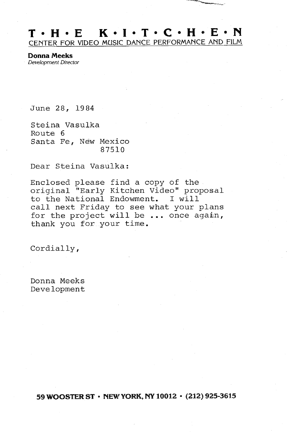## $T \cdot H \cdot E$   $K \cdot I \cdot T \cdot C \cdot H \cdot E \cdot N$ CENTER FOR VIDEO MUSIC DANCE PERFORMANCE AND FILM

Donna Meeks Development Director

June 28, 1984

Steina Vasulka Route <sup>6</sup> Santa Fe, New Mexico 87510

Dear Steina Vasulka :

Enclosed please find <sup>a</sup> copy of the original "Early Kitchen Video" proposal to the National Endowment. I will call next Friday to see what your plans for the project will be  $\ldots$  once again, thank you for your time.

Cordially,

Donna Meeks Development

59 WOOSTER ST  $\cdot$  NEW YORK, NY 10012  $\cdot$  (212) 925-3615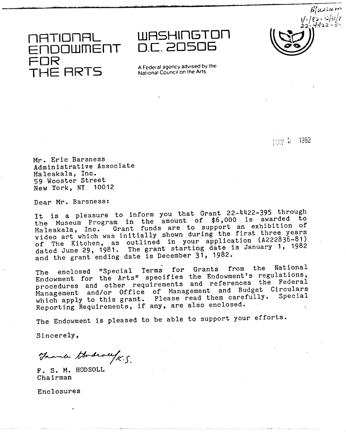FOR<br>TUE THE HRTS A Federal agency advised by the

1ATIONAL WASHINGTON<br>FNDOWMENT D.C.20506 D.C. 20506

 $~100$ <br> $~162 - 12131/2.$  $252 - 4422 -$ 

**FIAY 5 1982** 

Mr . Eric Barsness Administrative Associate Haleakala, Inc. 59 Wooster Street New York, NY 10012

Dear Mr. Barsness:

It is <sup>a</sup> pleasure to inform you that Grant 22-4422-395 through It is a preasure of inform you have to \$6,000 is awarded to<br>the Museum Program in the amount of \$6,000 is awarded to the museum flogiam in one character .<br>Haleakala, Inc. Grant funds are to support an exhibition of video art which was initially shown during the first three years of The Kitchen, as outlined in your application (A222836-81)<br>bited line 20, 1081. The grant starting date is January 1, 1982 of the Kritchen, and Satisfacture and Starting date is January 1, 1982<br>dated June 29, 1981. The grant starting date is January 1, 1982 and the grant ending date is December 31, 1982.

The enclosed "Special Terms for Grants from the National Endowment for the Arts" specifies the Endowment's regulations, procedures and other requirements and references the Federal Management and/or Office of Management and Budget Circulars which apply to this grant. Please read them carefully. Special Reporting Requirements, if any, are also enclosed .

The Endowment is pleased to be able to support your efforts .

Sincerely,

Thank Godrald K.S.

F. S. M. HODSOLL Chairman

Enclosures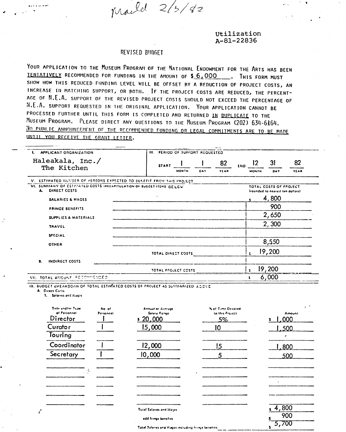mailel 2/3/42

Utilization  $A - 81 - 22836$ 

## **REVISED BUDGET**

YOUR APPLICATION TO THE MUSEUM PROGRAM OF THE NATIONAL ENDOWMENT FOR THE ARTS HAS BEEN TENTATIVELY RECOMMENDED FOR FUNDING IN THE AMOUNT OF \$6,000 ...... THIS FORM MUST SHOW HOW THIS REDUCED FUNDING LEVEL WILL BE OFFSET BY A REDUCTION OF PROJECT COSTS, AN INCREASE IN MATCHING SUPPORT, OR BOTH. IF THE PROJECT COSTS ARE REDUCED, THE PERCENT-AGE OF N.E.A. SUPPORT OF THE REVISED PROJECT COSTS SHOULD NOT EXCEED THE PERCENTAGE OF N.E.A. SUPPORT REQUESTED IN THE ORIGINAL APPLICATION. YOUR APPLICATION CANNOT BE PROCESSED FURTHER UNTIL THIS FORM IS COMPLETED AND RETURNED IN DUPLICATE TO THE MUSEUM PROGRAM. PLEASE DIRECT ANY QUESTIONS TO THE MUSEUM PROGRAM (202) 634-6164. NO PURLIC ANNOUNCEMENT OF THE RECOMMENDED FUNDING OR LEGAL COMMITMENTS ARE TO BE MADE UNIIL YOU RECEIVE THE GRANT LETTER.

| <b>A MONTGOMERY COMPANY</b><br>APPLICANT ORGANIZATION                                         | <b>HL</b>    | PERIOD OF SUPPORT REQUESTED |     |             |            |              |                                                            |      |
|-----------------------------------------------------------------------------------------------|--------------|-----------------------------|-----|-------------|------------|--------------|------------------------------------------------------------|------|
| Haleakala, Inc./<br>The Kitchen                                                               | <b>START</b> |                             |     | 82          | <b>END</b> |              | 31                                                         | 82   |
|                                                                                               |              | <b>MONTH</b>                | DAY | <b>YEAR</b> |            | <b>MONTH</b> | DAY                                                        | YEAR |
| V. ESTIMATED NUMBER OF PERSONS EXPECTED TO BENEFIT FROM THIS PROJECT                          |              |                             |     |             |            |              |                                                            |      |
| VI. SUMMARY OF ESTIMATED COSTS IRECAPITULATION OF BUDGET ITEMS. BE LCW.<br>DIRECT COSTS<br>A. |              |                             |     |             |            |              | TOTAL COSTS OF PROJECT<br>frounded to nearest ten dollars! |      |
| <b>SALARIES &amp; WAGES</b>                                                                   |              |                             |     |             |            |              | 4,800                                                      |      |
| <b>FRINGE BENEFITS</b>                                                                        |              |                             |     |             |            |              | 900                                                        |      |
| SUPPLIES & MATERIALS                                                                          |              |                             |     |             |            |              | 2,650                                                      |      |
| <b>TRAVEL</b>                                                                                 |              |                             |     |             |            |              | 2,300                                                      |      |
| SPECIAL                                                                                       |              |                             |     |             |            |              |                                                            |      |
| <b>OTHER</b>                                                                                  |              |                             |     |             |            |              | 8,550                                                      |      |
|                                                                                               |              | TOTAL DIRECT COSTS          |     |             |            | $\mathbf{s}$ | 19,200                                                     |      |
| <b>INDIRECT COSTS</b><br>В.                                                                   |              |                             |     |             |            |              |                                                            |      |
|                                                                                               |              | TOTAL PROJECT COSTS         |     |             |            | $S^{\pm}$    | 19,200                                                     |      |
| RECOMMENDED<br>VII. TOTAL AMOUNT                                                              |              |                             |     |             |            | s.           | 6,000                                                      |      |

IX. BUDGET BHEAKDOWN OF TOTAL ESTIMATED COSTS OF PROJECT AS SUMMARIZED ABOVE

A. Direct Coris

1. Salaries and Wages

| Title and/or Type<br>of Personnet<br>Director | No of<br>Personnel | Annual or Average<br><b>Salary Range</b><br>\$20,000 | Not Time Devoted<br>to this Project<br>5% | $\cdot$<br>$\sigma$<br>Amount<br>,000<br>s |
|-----------------------------------------------|--------------------|------------------------------------------------------|-------------------------------------------|--------------------------------------------|
| <b>Curator</b>                                |                    | 15,000                                               | 10                                        | 500                                        |
| Touring                                       |                    |                                                      |                                           |                                            |
| Coordinator                                   |                    | 12,000                                               | 15                                        | .800                                       |
| Secretary                                     |                    | 10,000                                               | 5                                         | 500                                        |
|                                               |                    |                                                      |                                           |                                            |
|                                               |                    |                                                      |                                           |                                            |
|                                               |                    |                                                      |                                           |                                            |
|                                               |                    | Total Salaries and Wages<br>add fringe benefits.     |                                           | 4,800<br>900                               |
|                                               |                    | Total Salazies and Wangs including June a banefits.  |                                           | 5,700                                      |

Total Salaries and Wages including friege bene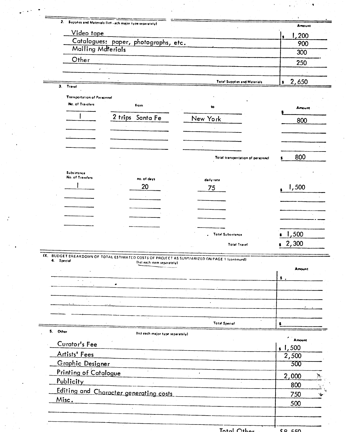| <u>Video tape</u>                                      |                                                                                                                             |                                     | 200           |
|--------------------------------------------------------|-----------------------------------------------------------------------------------------------------------------------------|-------------------------------------|---------------|
|                                                        | Catalogues: paper, photographs, etc.                                                                                        |                                     | 900           |
| Mailing Materials                                      |                                                                                                                             |                                     | 300           |
| Other                                                  |                                                                                                                             |                                     | 250           |
| ٠                                                      |                                                                                                                             |                                     |               |
|                                                        |                                                                                                                             | <b>Total Supplies and Materials</b> | 2,650<br>8    |
| 3. Travel                                              |                                                                                                                             |                                     |               |
| <b>Tramportation of Personnel</b>                      |                                                                                                                             |                                     |               |
| No. of Travelers                                       | from                                                                                                                        | to                                  | Amount        |
|                                                        | 2 trips Santa Fe                                                                                                            | New York                            | 800           |
|                                                        |                                                                                                                             |                                     |               |
|                                                        |                                                                                                                             |                                     |               |
|                                                        |                                                                                                                             |                                     |               |
|                                                        |                                                                                                                             |                                     |               |
|                                                        |                                                                                                                             | Total transportation of personnel   | 800           |
| Subsistence                                            |                                                                                                                             |                                     |               |
| No. of Travelers                                       | no. of days                                                                                                                 | daily rate                          |               |
|                                                        | 20                                                                                                                          | 75                                  | 1,500         |
|                                                        |                                                                                                                             |                                     |               |
|                                                        |                                                                                                                             |                                     |               |
|                                                        |                                                                                                                             |                                     |               |
|                                                        |                                                                                                                             |                                     |               |
|                                                        |                                                                                                                             | <b>Total Subsistance</b>            | 1,500         |
|                                                        |                                                                                                                             | <b>Total Travel</b>                 | 2,300         |
|                                                        |                                                                                                                             |                                     |               |
| 4. Special                                             | IX. BUDGET BREAKDOWN OF TOTAL ESTIMATED COSTS OF PROJECT AS SUMMARIZED ON PAGE 1 (continued)<br>(list each item separately) |                                     |               |
|                                                        |                                                                                                                             |                                     | <b>Amount</b> |
|                                                        |                                                                                                                             |                                     | \$.           |
|                                                        |                                                                                                                             |                                     |               |
|                                                        |                                                                                                                             |                                     |               |
|                                                        |                                                                                                                             |                                     |               |
|                                                        |                                                                                                                             |                                     |               |
|                                                        |                                                                                                                             | <b>Total Special</b>                | s             |
| 5. Other                                               | flist each major type separately).                                                                                          |                                     |               |
| Curator's Fee                                          |                                                                                                                             |                                     | Amount        |
|                                                        |                                                                                                                             |                                     | s, 1, 500     |
| Artists' Fees                                          |                                                                                                                             |                                     | 2,500         |
| Graphic Designer                                       |                                                                                                                             |                                     | 300           |
| <b>Printing of Catalogue</b>                           |                                                                                                                             |                                     | 2,000         |
| Publicity                                              |                                                                                                                             |                                     | 800           |
|                                                        |                                                                                                                             |                                     | 750           |
|                                                        |                                                                                                                             |                                     |               |
| <b>Editing and Character generating costs</b><br>Misc. |                                                                                                                             |                                     |               |
|                                                        |                                                                                                                             |                                     | 500           |

 $\frac{1}{2}$ 

 $\mathcal{F}$ 

 $\mathcal{C}^{\mathcal{C}}(\P)$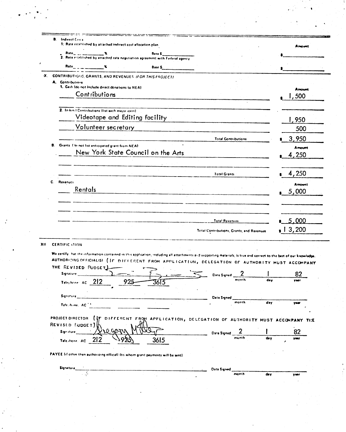| <b>B.</b> Indirect Costs<br>1: Rate established by attached indirect cost affocation plan.                                                                                                                                                                                                                                                                                                                                                                                                                                                   |                                                              |       |        | Amount         |  |
|----------------------------------------------------------------------------------------------------------------------------------------------------------------------------------------------------------------------------------------------------------------------------------------------------------------------------------------------------------------------------------------------------------------------------------------------------------------------------------------------------------------------------------------------|--------------------------------------------------------------|-------|--------|----------------|--|
|                                                                                                                                                                                                                                                                                                                                                                                                                                                                                                                                              |                                                              |       |        |                |  |
| $Rate$ <sub>2</sub> $\rightarrow$ 2 $\rightarrow$ 3 $\rightarrow$ 3 $\rightarrow$ 3 $\rightarrow$ 3 $\rightarrow$ 3 $\rightarrow$ 3 $\rightarrow$ 3 $\rightarrow$ 3 $\rightarrow$ 3 $\rightarrow$ 3 $\rightarrow$ 3 $\rightarrow$ 3 $\rightarrow$ 3 $\rightarrow$ 3 $\rightarrow$ 3 $\rightarrow$ 3 $\rightarrow$ 3 $\rightarrow$ 3 $\rightarrow$ 3 $\rightarrow$ 3 $\rightarrow$ 3 $\rightarrow$ 3 $\rightarrow$ 3 $\rightarrow$ 3 $\rightarrow$ 3 $\rightarrow$ 3 $\rightarrow$ 3 $\rightarrow$ 3 $\rightarrow$ 3 $\rightarrow$<br>Base \$ |                                                              |       |        |                |  |
| X. CONTRIBUTIONS, GRANTS, AND REVENUES (FOR THIS PROJECT)<br>A. Contributions                                                                                                                                                                                                                                                                                                                                                                                                                                                                |                                                              |       |        |                |  |
| 1. Cash (do not include direct donations to NEA)                                                                                                                                                                                                                                                                                                                                                                                                                                                                                             |                                                              |       |        | Amount         |  |
| Contributions                                                                                                                                                                                                                                                                                                                                                                                                                                                                                                                                |                                                              |       |        | ,500           |  |
|                                                                                                                                                                                                                                                                                                                                                                                                                                                                                                                                              |                                                              |       |        |                |  |
| 2. In-kin ! Contributions (list each major item)<br>Videotape and Editing facility                                                                                                                                                                                                                                                                                                                                                                                                                                                           |                                                              |       |        |                |  |
| Volunteer secretary                                                                                                                                                                                                                                                                                                                                                                                                                                                                                                                          |                                                              |       |        | 1,950          |  |
|                                                                                                                                                                                                                                                                                                                                                                                                                                                                                                                                              |                                                              |       |        | 500            |  |
|                                                                                                                                                                                                                                                                                                                                                                                                                                                                                                                                              | <b>Total Contributions</b>                                   |       |        | 3,950          |  |
| Grants. I folloot list anticipated grant from NEAE<br>8.<br>New York State Council on the Arts                                                                                                                                                                                                                                                                                                                                                                                                                                               |                                                              |       |        | Amount         |  |
|                                                                                                                                                                                                                                                                                                                                                                                                                                                                                                                                              |                                                              |       |        | 4,250          |  |
|                                                                                                                                                                                                                                                                                                                                                                                                                                                                                                                                              |                                                              |       |        |                |  |
|                                                                                                                                                                                                                                                                                                                                                                                                                                                                                                                                              | <b>Total Grants</b>                                          |       |        | 4,250          |  |
| C.<br>Revenues                                                                                                                                                                                                                                                                                                                                                                                                                                                                                                                               |                                                              |       |        | <b>Amount</b>  |  |
| Rentals                                                                                                                                                                                                                                                                                                                                                                                                                                                                                                                                      |                                                              |       |        | 5,000          |  |
|                                                                                                                                                                                                                                                                                                                                                                                                                                                                                                                                              |                                                              |       |        |                |  |
|                                                                                                                                                                                                                                                                                                                                                                                                                                                                                                                                              |                                                              |       |        |                |  |
|                                                                                                                                                                                                                                                                                                                                                                                                                                                                                                                                              | <b>Example 19 Total Revenues</b>                             |       |        | 5,000          |  |
|                                                                                                                                                                                                                                                                                                                                                                                                                                                                                                                                              |                                                              |       |        | $\sqrt{3,200}$ |  |
|                                                                                                                                                                                                                                                                                                                                                                                                                                                                                                                                              | Total Contributions, Grants, and Revenues                    |       |        |                |  |
| <b>CERTIFIC LTION</b>                                                                                                                                                                                                                                                                                                                                                                                                                                                                                                                        |                                                              |       |        |                |  |
| We certify that the information contained in this application, induding all attachments and supporting materials, is true and correct to the best of our knowledg<br>AUTHORIZING OFFICIALISI (IF DIFFERENT FROM APPLICATION, DELEGATION OF AUTHORITY MUST ACCOMPANY                                                                                                                                                                                                                                                                          |                                                              |       |        |                |  |
|                                                                                                                                                                                                                                                                                                                                                                                                                                                                                                                                              |                                                              |       |        |                |  |
|                                                                                                                                                                                                                                                                                                                                                                                                                                                                                                                                              |                                                              |       |        |                |  |
| Signature <b>Signature</b>                                                                                                                                                                                                                                                                                                                                                                                                                                                                                                                   | Date Signed 2                                                |       |        | 82             |  |
| 925<br>Telephone: $AC \_212$<br>3615                                                                                                                                                                                                                                                                                                                                                                                                                                                                                                         |                                                              |       |        |                |  |
|                                                                                                                                                                                                                                                                                                                                                                                                                                                                                                                                              |                                                              |       |        |                |  |
| Telephone, AC <sup>11</sup>                                                                                                                                                                                                                                                                                                                                                                                                                                                                                                                  | Date Signed <b>Contains the Contains of Containing State</b> |       | $d$ ay | ww             |  |
|                                                                                                                                                                                                                                                                                                                                                                                                                                                                                                                                              |                                                              |       |        |                |  |
| DIFFERENT FROM APPLICATION, DELEGATION OF AUTHORITY MUST ACCOMPANY THE                                                                                                                                                                                                                                                                                                                                                                                                                                                                       |                                                              |       |        |                |  |
|                                                                                                                                                                                                                                                                                                                                                                                                                                                                                                                                              |                                                              |       |        |                |  |
| Sign iture                                                                                                                                                                                                                                                                                                                                                                                                                                                                                                                                   | Date Signed 2                                                | month |        | 82<br>veer     |  |
| Telephone, AC 212<br>3615<br>92                                                                                                                                                                                                                                                                                                                                                                                                                                                                                                              |                                                              |       |        |                |  |
|                                                                                                                                                                                                                                                                                                                                                                                                                                                                                                                                              |                                                              |       |        |                |  |
|                                                                                                                                                                                                                                                                                                                                                                                                                                                                                                                                              |                                                              |       |        |                |  |
| Signature                                                                                                                                                                                                                                                                                                                                                                                                                                                                                                                                    | <b>Data Signed</b>                                           |       |        |                |  |
|                                                                                                                                                                                                                                                                                                                                                                                                                                                                                                                                              |                                                              | month | dey    | <b>YM!</b>     |  |
| THE REVISED PUDGET)<br>PROJECT DIRECTOR (IF<br>REVISLO [UDGET]<br>PAYEE (if other than authorizing offical) (to whom grant payments will be sent).                                                                                                                                                                                                                                                                                                                                                                                           |                                                              |       |        |                |  |

 $\frac{1}{2}$  ,  $\frac{1}{2}$ 

 $\label{eq:2} \frac{1}{\sqrt{2}}\sum_{i=1}^n\frac{1}{\sqrt{2}}\sum_{i=1}^n\frac{1}{\sqrt{2}}\sum_{i=1}^n\frac{1}{\sqrt{2}}\sum_{i=1}^n\frac{1}{\sqrt{2}}\sum_{i=1}^n\frac{1}{\sqrt{2}}\sum_{i=1}^n\frac{1}{\sqrt{2}}\sum_{i=1}^n\frac{1}{\sqrt{2}}\sum_{i=1}^n\frac{1}{\sqrt{2}}\sum_{i=1}^n\frac{1}{\sqrt{2}}\sum_{i=1}^n\frac{1}{\sqrt{2}}\sum_{i=1}^n\frac{1$ 

 $\mathbb{R}^2$ 

 $\sigma_{\rm{eff}}$ 

 $\hat{\mathcal{E}}$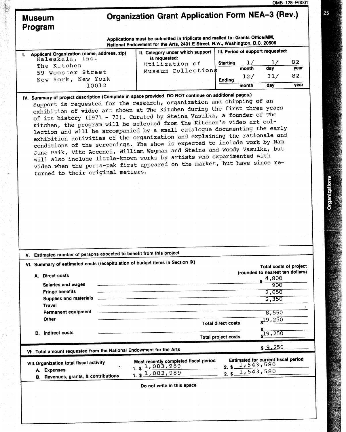## Organization Grant Application Form NEA-3 (Rev.)

|         | Museum |
|---------|--------|
| Program |        |

Applications must be submitted in triplicate and mailed to: Grants Office/MM, National Endowment for the Arts, <sup>2401</sup> E Street, N.W., Washington, D.C . <sup>20506</sup>

| Applicant Organization (name, address, zip) | II. Category under which support |                 |       | III. Period of support requested: |      |
|---------------------------------------------|----------------------------------|-----------------|-------|-----------------------------------|------|
| Haleakala, Inc.<br>The Kitchen              | is requested:<br>Utilization of  | <b>Starting</b> |       |                                   | 82   |
| 59 Wooster Street                           | Museum Collections               |                 | month | day                               | year |
| New York, New York                          |                                  | <b>Ending</b>   | 12/   | 31/                               | 82.  |
| 10012                                       |                                  |                 | month | dav                               | year |

IV. Summary of project description (Complete in space provided. DO NOT continue on additional pages.) Support is requested for the research, organization and shipping of an exhibition of video art shown at The Kitchen during the first three years of its history (1971 - 73) . Curated by Steina Vasulka, <sup>a</sup> founder of The Kitchen, the program will be selected from The Kitchen's video art collection and will be accompanied by <sup>a</sup> small catalogue documenting the early exhibition activities of the organization and explaining the rationale and conditions of the screenings. The show is expected to include work by Nam June Paik, Vito Acconci, William Wegman and Steina and Woody Vasulka, but will also include little-known works by artists who experimented with video when the porta-pak first appeared on the market, but have since returned to their original metiers .

| V. |    | Estimated number of persons expected to benefit from this project                                                                     |                                                                                  |                                                         |      |                                                                                                       |
|----|----|---------------------------------------------------------------------------------------------------------------------------------------|----------------------------------------------------------------------------------|---------------------------------------------------------|------|-------------------------------------------------------------------------------------------------------|
|    | А. | <b>Direct costs</b><br>Salaries and wages<br><b>Fringe benefits</b><br>Supplies and materials<br><b>Travel</b><br>Permanent equipment | VI. Summary of estimated costs (recapitulation of budget items in Section IX)    |                                                         |      | Total costs of project<br>(rounded to nearest ten dollars)<br>4,800<br>900<br>2,650<br>2,350<br>8,550 |
|    | В. | Other<br>Indirect costs                                                                                                               |                                                                                  | <b>Total direct costs</b><br><b>Total project costs</b> |      | 19,250<br>19,250                                                                                      |
|    |    | VII. Total amount requested from the National Endowment for the Arts                                                                  |                                                                                  |                                                         |      | \$9.250                                                                                               |
|    | А. | VIII. Organization total fiscal activity<br><b>Expenses</b><br>B. Revenues, grants, & contributions                                   | Most recently completed fiscal period<br>$1. s1$ , 083, 989<br>$1.$ \$ 1,083,989 | 2.                                                      | 2. S | Estimated for current fiscal period<br>$s$ 1, 543, 580<br>1,543,580                                   |
|    |    |                                                                                                                                       | Do not write in this space                                                       |                                                         |      |                                                                                                       |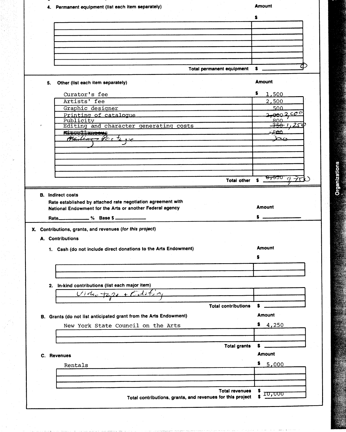| \$<br>Total permanent equipment<br>$s =$<br><b>Amount</b><br>Other (list each item separately)<br>5.<br>Ş.<br>1,500<br>Curator's fee<br>Artists' fee<br>2,500<br>500<br>Graphic designer<br>2,0002.900<br>Printing of catalogue<br>ممع<br>Publicity<br><del>-750 -</del> 1<br>25<br>Editing and character generating costs<br>مصعد<br><b>Miscellaneeus</b><br>$R_4H_1$<br>عط<br>the control of the control of the control of the control of the control of<br>Total other<br>s<br><b>B.</b> Indirect costs<br>Rate established by attached rate negotiation agreement with<br><b>Amount</b><br>National Endowment for the Arts or another Federal agency<br>Rate____________ % Base \$<br>s<br>X. Contributions, grants, and revenues (for this project)<br>A. Contributions<br><b>Amount</b><br>1. Cash (do not include direct donations to the Arts Endowment)<br>2. In-kind contributions (list each major item)<br>$2x + Editz$<br>$U$ iduot<br><b>Total contributions</b><br><b>Amount</b><br>B. Grants (do not list anticipated grant from the Arts Endowment)<br>\$4,250<br>New York State Council on the Arts<br><b>Total grants</b><br>s<br><b>Amount</b><br>C. Revenues<br>\$.<br>5,000<br>Rentals<br><b>Total revenues</b><br>s<br>1 <del>0,000</del><br>Total contributions, grants, and revenues for this project |  | 4. Permanent equipment (list each item separately) | <b>Amount</b> |
|--------------------------------------------------------------------------------------------------------------------------------------------------------------------------------------------------------------------------------------------------------------------------------------------------------------------------------------------------------------------------------------------------------------------------------------------------------------------------------------------------------------------------------------------------------------------------------------------------------------------------------------------------------------------------------------------------------------------------------------------------------------------------------------------------------------------------------------------------------------------------------------------------------------------------------------------------------------------------------------------------------------------------------------------------------------------------------------------------------------------------------------------------------------------------------------------------------------------------------------------------------------------------------------------------------------------------------|--|----------------------------------------------------|---------------|
|                                                                                                                                                                                                                                                                                                                                                                                                                                                                                                                                                                                                                                                                                                                                                                                                                                                                                                                                                                                                                                                                                                                                                                                                                                                                                                                                |  |                                                    |               |
|                                                                                                                                                                                                                                                                                                                                                                                                                                                                                                                                                                                                                                                                                                                                                                                                                                                                                                                                                                                                                                                                                                                                                                                                                                                                                                                                |  |                                                    |               |
|                                                                                                                                                                                                                                                                                                                                                                                                                                                                                                                                                                                                                                                                                                                                                                                                                                                                                                                                                                                                                                                                                                                                                                                                                                                                                                                                |  |                                                    |               |
|                                                                                                                                                                                                                                                                                                                                                                                                                                                                                                                                                                                                                                                                                                                                                                                                                                                                                                                                                                                                                                                                                                                                                                                                                                                                                                                                |  |                                                    |               |
|                                                                                                                                                                                                                                                                                                                                                                                                                                                                                                                                                                                                                                                                                                                                                                                                                                                                                                                                                                                                                                                                                                                                                                                                                                                                                                                                |  |                                                    |               |
|                                                                                                                                                                                                                                                                                                                                                                                                                                                                                                                                                                                                                                                                                                                                                                                                                                                                                                                                                                                                                                                                                                                                                                                                                                                                                                                                |  |                                                    |               |
|                                                                                                                                                                                                                                                                                                                                                                                                                                                                                                                                                                                                                                                                                                                                                                                                                                                                                                                                                                                                                                                                                                                                                                                                                                                                                                                                |  |                                                    |               |
| <del>8,550 g 7rk</del>                                                                                                                                                                                                                                                                                                                                                                                                                                                                                                                                                                                                                                                                                                                                                                                                                                                                                                                                                                                                                                                                                                                                                                                                                                                                                                         |  |                                                    |               |
|                                                                                                                                                                                                                                                                                                                                                                                                                                                                                                                                                                                                                                                                                                                                                                                                                                                                                                                                                                                                                                                                                                                                                                                                                                                                                                                                |  |                                                    |               |
|                                                                                                                                                                                                                                                                                                                                                                                                                                                                                                                                                                                                                                                                                                                                                                                                                                                                                                                                                                                                                                                                                                                                                                                                                                                                                                                                |  |                                                    |               |
|                                                                                                                                                                                                                                                                                                                                                                                                                                                                                                                                                                                                                                                                                                                                                                                                                                                                                                                                                                                                                                                                                                                                                                                                                                                                                                                                |  |                                                    |               |
|                                                                                                                                                                                                                                                                                                                                                                                                                                                                                                                                                                                                                                                                                                                                                                                                                                                                                                                                                                                                                                                                                                                                                                                                                                                                                                                                |  |                                                    |               |
|                                                                                                                                                                                                                                                                                                                                                                                                                                                                                                                                                                                                                                                                                                                                                                                                                                                                                                                                                                                                                                                                                                                                                                                                                                                                                                                                |  |                                                    |               |
|                                                                                                                                                                                                                                                                                                                                                                                                                                                                                                                                                                                                                                                                                                                                                                                                                                                                                                                                                                                                                                                                                                                                                                                                                                                                                                                                |  |                                                    |               |
|                                                                                                                                                                                                                                                                                                                                                                                                                                                                                                                                                                                                                                                                                                                                                                                                                                                                                                                                                                                                                                                                                                                                                                                                                                                                                                                                |  |                                                    |               |
|                                                                                                                                                                                                                                                                                                                                                                                                                                                                                                                                                                                                                                                                                                                                                                                                                                                                                                                                                                                                                                                                                                                                                                                                                                                                                                                                |  |                                                    |               |
|                                                                                                                                                                                                                                                                                                                                                                                                                                                                                                                                                                                                                                                                                                                                                                                                                                                                                                                                                                                                                                                                                                                                                                                                                                                                                                                                |  |                                                    |               |
|                                                                                                                                                                                                                                                                                                                                                                                                                                                                                                                                                                                                                                                                                                                                                                                                                                                                                                                                                                                                                                                                                                                                                                                                                                                                                                                                |  |                                                    |               |
|                                                                                                                                                                                                                                                                                                                                                                                                                                                                                                                                                                                                                                                                                                                                                                                                                                                                                                                                                                                                                                                                                                                                                                                                                                                                                                                                |  |                                                    |               |
|                                                                                                                                                                                                                                                                                                                                                                                                                                                                                                                                                                                                                                                                                                                                                                                                                                                                                                                                                                                                                                                                                                                                                                                                                                                                                                                                |  |                                                    |               |
|                                                                                                                                                                                                                                                                                                                                                                                                                                                                                                                                                                                                                                                                                                                                                                                                                                                                                                                                                                                                                                                                                                                                                                                                                                                                                                                                |  |                                                    |               |
|                                                                                                                                                                                                                                                                                                                                                                                                                                                                                                                                                                                                                                                                                                                                                                                                                                                                                                                                                                                                                                                                                                                                                                                                                                                                                                                                |  |                                                    |               |
|                                                                                                                                                                                                                                                                                                                                                                                                                                                                                                                                                                                                                                                                                                                                                                                                                                                                                                                                                                                                                                                                                                                                                                                                                                                                                                                                |  |                                                    |               |
|                                                                                                                                                                                                                                                                                                                                                                                                                                                                                                                                                                                                                                                                                                                                                                                                                                                                                                                                                                                                                                                                                                                                                                                                                                                                                                                                |  |                                                    |               |
|                                                                                                                                                                                                                                                                                                                                                                                                                                                                                                                                                                                                                                                                                                                                                                                                                                                                                                                                                                                                                                                                                                                                                                                                                                                                                                                                |  |                                                    |               |
|                                                                                                                                                                                                                                                                                                                                                                                                                                                                                                                                                                                                                                                                                                                                                                                                                                                                                                                                                                                                                                                                                                                                                                                                                                                                                                                                |  |                                                    |               |
|                                                                                                                                                                                                                                                                                                                                                                                                                                                                                                                                                                                                                                                                                                                                                                                                                                                                                                                                                                                                                                                                                                                                                                                                                                                                                                                                |  |                                                    |               |
|                                                                                                                                                                                                                                                                                                                                                                                                                                                                                                                                                                                                                                                                                                                                                                                                                                                                                                                                                                                                                                                                                                                                                                                                                                                                                                                                |  |                                                    |               |
|                                                                                                                                                                                                                                                                                                                                                                                                                                                                                                                                                                                                                                                                                                                                                                                                                                                                                                                                                                                                                                                                                                                                                                                                                                                                                                                                |  |                                                    |               |
|                                                                                                                                                                                                                                                                                                                                                                                                                                                                                                                                                                                                                                                                                                                                                                                                                                                                                                                                                                                                                                                                                                                                                                                                                                                                                                                                |  |                                                    |               |
|                                                                                                                                                                                                                                                                                                                                                                                                                                                                                                                                                                                                                                                                                                                                                                                                                                                                                                                                                                                                                                                                                                                                                                                                                                                                                                                                |  |                                                    |               |
|                                                                                                                                                                                                                                                                                                                                                                                                                                                                                                                                                                                                                                                                                                                                                                                                                                                                                                                                                                                                                                                                                                                                                                                                                                                                                                                                |  |                                                    |               |
|                                                                                                                                                                                                                                                                                                                                                                                                                                                                                                                                                                                                                                                                                                                                                                                                                                                                                                                                                                                                                                                                                                                                                                                                                                                                                                                                |  |                                                    |               |
|                                                                                                                                                                                                                                                                                                                                                                                                                                                                                                                                                                                                                                                                                                                                                                                                                                                                                                                                                                                                                                                                                                                                                                                                                                                                                                                                |  |                                                    |               |
|                                                                                                                                                                                                                                                                                                                                                                                                                                                                                                                                                                                                                                                                                                                                                                                                                                                                                                                                                                                                                                                                                                                                                                                                                                                                                                                                |  |                                                    |               |
|                                                                                                                                                                                                                                                                                                                                                                                                                                                                                                                                                                                                                                                                                                                                                                                                                                                                                                                                                                                                                                                                                                                                                                                                                                                                                                                                |  |                                                    |               |
|                                                                                                                                                                                                                                                                                                                                                                                                                                                                                                                                                                                                                                                                                                                                                                                                                                                                                                                                                                                                                                                                                                                                                                                                                                                                                                                                |  |                                                    |               |
|                                                                                                                                                                                                                                                                                                                                                                                                                                                                                                                                                                                                                                                                                                                                                                                                                                                                                                                                                                                                                                                                                                                                                                                                                                                                                                                                |  |                                                    |               |
|                                                                                                                                                                                                                                                                                                                                                                                                                                                                                                                                                                                                                                                                                                                                                                                                                                                                                                                                                                                                                                                                                                                                                                                                                                                                                                                                |  |                                                    |               |
|                                                                                                                                                                                                                                                                                                                                                                                                                                                                                                                                                                                                                                                                                                                                                                                                                                                                                                                                                                                                                                                                                                                                                                                                                                                                                                                                |  |                                                    |               |
|                                                                                                                                                                                                                                                                                                                                                                                                                                                                                                                                                                                                                                                                                                                                                                                                                                                                                                                                                                                                                                                                                                                                                                                                                                                                                                                                |  |                                                    |               |
|                                                                                                                                                                                                                                                                                                                                                                                                                                                                                                                                                                                                                                                                                                                                                                                                                                                                                                                                                                                                                                                                                                                                                                                                                                                                                                                                |  |                                                    |               |
|                                                                                                                                                                                                                                                                                                                                                                                                                                                                                                                                                                                                                                                                                                                                                                                                                                                                                                                                                                                                                                                                                                                                                                                                                                                                                                                                |  |                                                    |               |